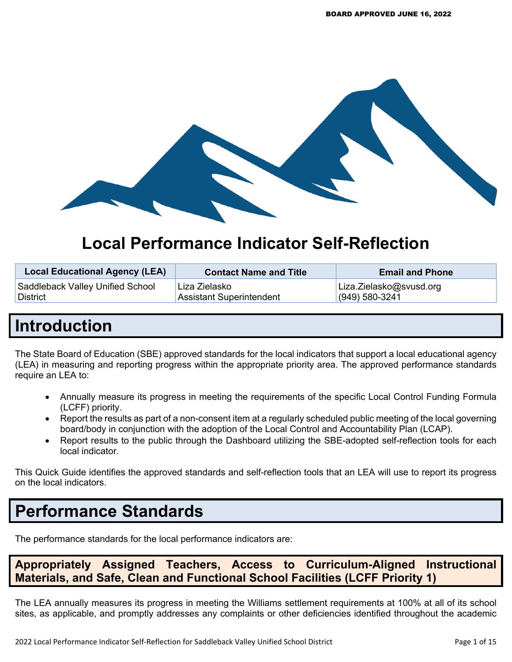

# **Local Performance Indicator Self-Reflection**

| <b>Local Educational Agency (LEA)</b> | <b>Contact Name and Title</b> | <b>Email and Phone</b>  |
|---------------------------------------|-------------------------------|-------------------------|
| Saddleback Valley Unified School      | Liza Zielasko                 | Liza.Zielasko@svusd.org |
| <b>District</b>                       | Assistant Superintendent      | $(949) 580 - 3241$      |

# **Introduction**

The State Board of Education (SBE) approved standards for the local indicators that support a local educational agency (LEA) in measuring and reporting progress within the appropriate priority area. The approved performance standards require an LEA to:

- Annually measure its progress in meeting the requirements of the specific Local Control Funding Formula (LCFF) priority.
- Report the results as part of a non-consent item at a regularly scheduled public meeting of the local governing board/body in conjunction with the adoption of the Local Control and Accountability Plan (LCAP).
- Report results to the public through the Dashboard utilizing the SBE-adopted self-reflection tools for each local indicator.

This Quick Guide identifies the approved standards and self-reflection tools that an LEA will use to report its progress on the local indicators.

# **Performance Standards**

The performance standards for the local performance indicators are:

**Appropriately Assigned Teachers, Access to Curriculum-Aligned Instructional Materials, and Safe, Clean and Functional School Facilities (LCFF Priority 1)**

The LEA annually measures its progress in meeting the Williams settlement requirements at 100% at all of its school sites, as applicable, and promptly addresses any complaints or other deficiencies identified throughout the academic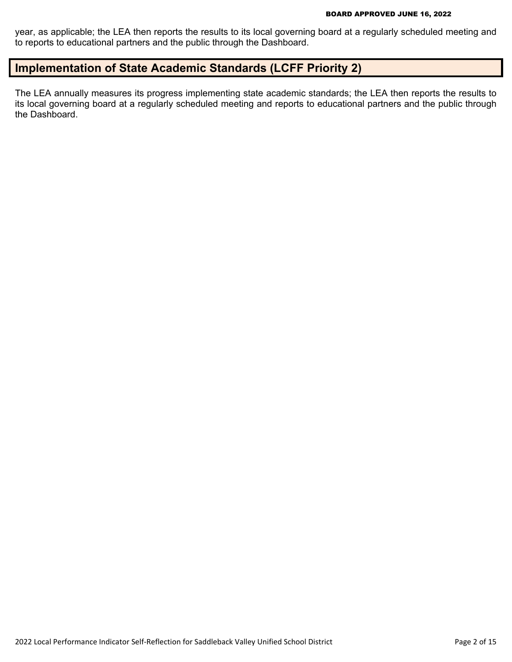year, as applicable; the LEA then reports the results to its local governing board at a regularly scheduled meeting and to reports to educational partners and the public through the Dashboard.

## **Implementation of State Academic Standards (LCFF Priority 2)**

The LEA annually measures its progress implementing state academic standards; the LEA then reports the results to its local governing board at a regularly scheduled meeting and reports to educational partners and the public through the Dashboard.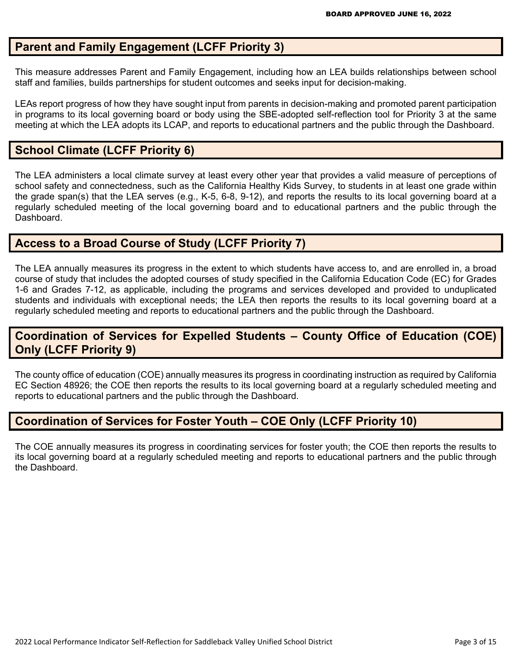## **Parent and Family Engagement (LCFF Priority 3)**

This measure addresses Parent and Family Engagement, including how an LEA builds relationships between school staff and families, builds partnerships for student outcomes and seeks input for decision-making.

LEAs report progress of how they have sought input from parents in decision-making and promoted parent participation in programs to its local governing board or body using the SBE-adopted self-reflection tool for Priority 3 at the same meeting at which the LEA adopts its LCAP, and reports to educational partners and the public through the Dashboard.

## **School Climate (LCFF Priority 6)**

The LEA administers a local climate survey at least every other year that provides a valid measure of perceptions of school safety and connectedness, such as the California Healthy Kids Survey, to students in at least one grade within the grade span(s) that the LEA serves (e.g., K-5, 6-8, 9-12), and reports the results to its local governing board at a regularly scheduled meeting of the local governing board and to educational partners and the public through the Dashboard.

## **Access to a Broad Course of Study (LCFF Priority 7)**

The LEA annually measures its progress in the extent to which students have access to, and are enrolled in, a broad course of study that includes the adopted courses of study specified in the California Education Code (EC) for Grades 1-6 and Grades 7-12, as applicable, including the programs and services developed and provided to unduplicated students and individuals with exceptional needs; the LEA then reports the results to its local governing board at a regularly scheduled meeting and reports to educational partners and the public through the Dashboard.

## **Coordination of Services for Expelled Students – County Office of Education (COE) Only (LCFF Priority 9)**

The county office of education (COE) annually measures its progress in coordinating instruction as required by California EC Section 48926; the COE then reports the results to its local governing board at a regularly scheduled meeting and reports to educational partners and the public through the Dashboard.

## **Coordination of Services for Foster Youth – COE Only (LCFF Priority 10)**

The COE annually measures its progress in coordinating services for foster youth; the COE then reports the results to its local governing board at a regularly scheduled meeting and reports to educational partners and the public through the Dashboard.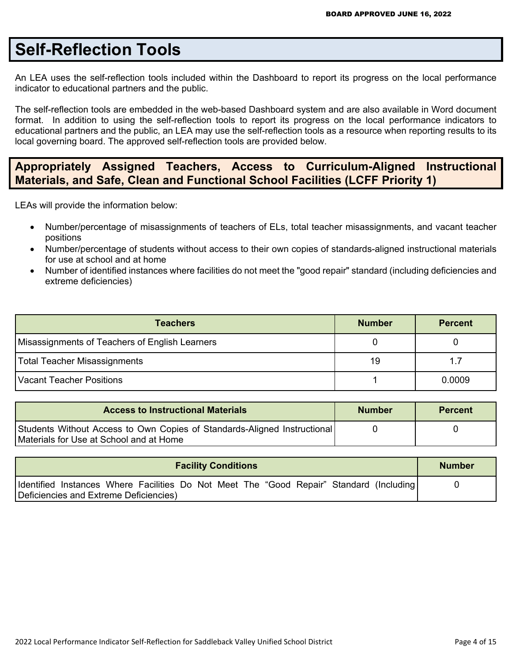# **Self-Reflection Tools**

An LEA uses the self-reflection tools included within the Dashboard to report its progress on the local performance indicator to educational partners and the public.

The self-reflection tools are embedded in the web-based Dashboard system and are also available in Word document format. In addition to using the self-reflection tools to report its progress on the local performance indicators to educational partners and the public, an LEA may use the self-reflection tools as a resource when reporting results to its local governing board. The approved self-reflection tools are provided below.

## **Appropriately Assigned Teachers, Access to Curriculum-Aligned Instructional Materials, and Safe, Clean and Functional School Facilities (LCFF Priority 1)**

LEAs will provide the information below:

- Number/percentage of misassignments of teachers of ELs, total teacher misassignments, and vacant teacher positions
- Number/percentage of students without access to their own copies of standards-aligned instructional materials for use at school and at home
- Number of identified instances where facilities do not meet the "good repair" standard (including deficiencies and extreme deficiencies)

| <b>Teachers</b>                                | <b>Number</b> | <b>Percent</b> |
|------------------------------------------------|---------------|----------------|
| Misassignments of Teachers of English Learners |               |                |
| Total Teacher Misassignments                   | 19            | 1.7            |
| Vacant Teacher Positions                       |               | 0.0009         |

| <b>Access to Instructional Materials</b>                                                                            | <b>Number</b> | <b>Percent</b> |
|---------------------------------------------------------------------------------------------------------------------|---------------|----------------|
| Students Without Access to Own Copies of Standards-Aligned Instructional<br>Materials for Use at School and at Home |               |                |

| Identified Instances Where Facilities Do Not Meet The "Good Repair" Standard (Including)<br>Deficiencies and Extreme Deficiencies) |  |
|------------------------------------------------------------------------------------------------------------------------------------|--|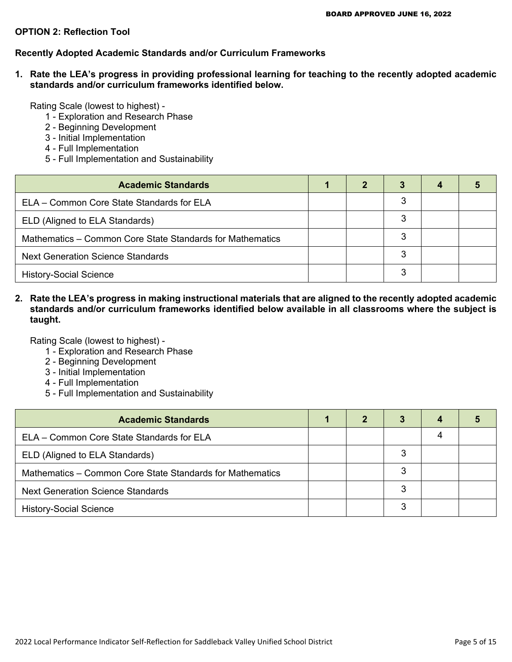#### **OPTION 2: Reflection Tool**

#### **Recently Adopted Academic Standards and/or Curriculum Frameworks**

**1. Rate the LEA's progress in providing professional learning for teaching to the recently adopted academic standards and/or curriculum frameworks identified below.**

Rating Scale (lowest to highest) -

- 1 Exploration and Research Phase
- 2 Beginning Development
- 3 Initial Implementation
- 4 Full Implementation
- 5 Full Implementation and Sustainability

| <b>Academic Standards</b>                                 | 2 | 3 |  |
|-----------------------------------------------------------|---|---|--|
| ELA – Common Core State Standards for ELA                 |   | 3 |  |
| ELD (Aligned to ELA Standards)                            |   | 3 |  |
| Mathematics – Common Core State Standards for Mathematics |   | 3 |  |
| <b>Next Generation Science Standards</b>                  |   | 3 |  |
| <b>History-Social Science</b>                             |   | 3 |  |

**2. Rate the LEA's progress in making instructional materials that are aligned to the recently adopted academic standards and/or curriculum frameworks identified below available in all classrooms where the subject is taught.**

Rating Scale (lowest to highest) -

- 1 Exploration and Research Phase
- 2 Beginning Development
- 3 Initial Implementation
- 4 Full Implementation
- 5 Full Implementation and Sustainability

| <b>Academic Standards</b>                                 | 2 | 3 | 4 |  |
|-----------------------------------------------------------|---|---|---|--|
| ELA - Common Core State Standards for ELA                 |   |   |   |  |
| ELD (Aligned to ELA Standards)                            |   |   |   |  |
| Mathematics – Common Core State Standards for Mathematics |   |   |   |  |
| <b>Next Generation Science Standards</b>                  |   | 3 |   |  |
| <b>History-Social Science</b>                             |   | 3 |   |  |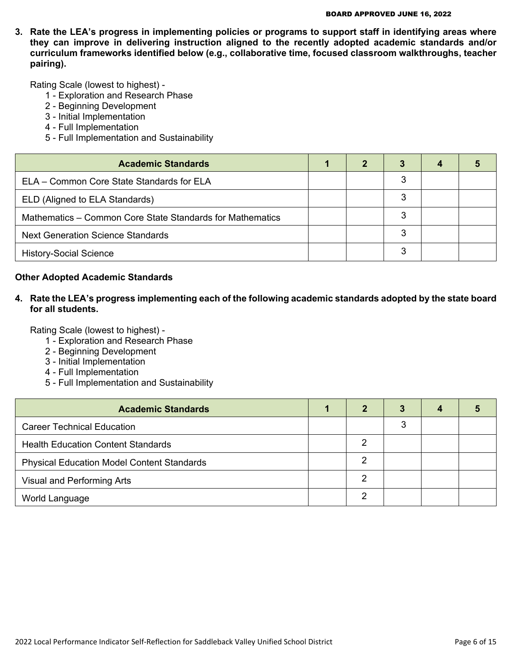**3. Rate the LEA's progress in implementing policies or programs to support staff in identifying areas where they can improve in delivering instruction aligned to the recently adopted academic standards and/or curriculum frameworks identified below (e.g., collaborative time, focused classroom walkthroughs, teacher pairing).**

Rating Scale (lowest to highest) -

- 1 Exploration and Research Phase
- 2 Beginning Development
- 3 Initial Implementation
- 4 Full Implementation
- 5 Full Implementation and Sustainability

| <b>Academic Standards</b>                                 | 2 |   |  |
|-----------------------------------------------------------|---|---|--|
| ELA – Common Core State Standards for ELA                 |   | 3 |  |
| ELD (Aligned to ELA Standards)                            |   | 3 |  |
| Mathematics - Common Core State Standards for Mathematics |   | 3 |  |
| <b>Next Generation Science Standards</b>                  |   | 3 |  |
| <b>History-Social Science</b>                             |   | 3 |  |

#### **Other Adopted Academic Standards**

**4. Rate the LEA's progress implementing each of the following academic standards adopted by the state board for all students.**

Rating Scale (lowest to highest) -

- 1 Exploration and Research Phase
- 2 Beginning Development
- 3 Initial Implementation
- 4 Full Implementation
- 5 Full Implementation and Sustainability

| <b>Academic Standards</b>                         | 2 | 3 | 4 |  |
|---------------------------------------------------|---|---|---|--|
| <b>Career Technical Education</b>                 |   | 3 |   |  |
| <b>Health Education Content Standards</b>         | 2 |   |   |  |
| <b>Physical Education Model Content Standards</b> | 2 |   |   |  |
| Visual and Performing Arts                        | っ |   |   |  |
| World Language                                    | ົ |   |   |  |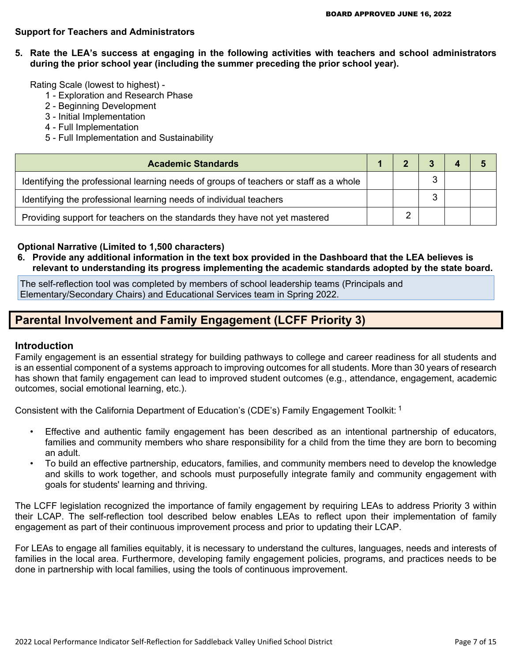#### **Support for Teachers and Administrators**

**5. Rate the LEA's success at engaging in the following activities with teachers and school administrators during the prior school year (including the summer preceding the prior school year).**

Rating Scale (lowest to highest) -

- 1 Exploration and Research Phase
- 2 Beginning Development
- 3 Initial Implementation
- 4 Full Implementation
- 5 Full Implementation and Sustainability

| <b>Academic Standards</b>                                                             |  |   |  |
|---------------------------------------------------------------------------------------|--|---|--|
| Identifying the professional learning needs of groups of teachers or staff as a whole |  |   |  |
| Identifying the professional learning needs of individual teachers                    |  | ◠ |  |
| Providing support for teachers on the standards they have not yet mastered            |  |   |  |

#### **Optional Narrative (Limited to 1,500 characters)**

**6. Provide any additional information in the text box provided in the Dashboard that the LEA believes is relevant to understanding its progress implementing the academic standards adopted by the state board.**

The self-reflection tool was completed by members of school leadership teams (Principals and Elementary/Secondary Chairs) and Educational Services team in Spring 2022.

## **Parental Involvement and Family Engagement (LCFF Priority 3)**

#### **Introduction**

Family engagement is an essential strategy for building pathways to college and career readiness for all students and is an essential component of a systems approach to improving outcomes for all students. More than 30 years of research has shown that family engagement can lead to improved student outcomes (e.g., attendance, engagement, academic outcomes, social emotional learning, etc.).

Consistent with the California Department of Education's (CDE's) Family Engagement Toolkit: <sup>1</sup>

- Effective and authentic family engagement has been described as an intentional partnership of educators, families and community members who share responsibility for a child from the time they are born to becoming an adult.
- To build an effective partnership, educators, families, and community members need to develop the knowledge and skills to work together, and schools must purposefully integrate family and community engagement with goals for students' learning and thriving.

The LCFF legislation recognized the importance of family engagement by requiring LEAs to address Priority 3 within their LCAP. The self-reflection tool described below enables LEAs to reflect upon their implementation of family engagement as part of their continuous improvement process and prior to updating their LCAP.

For LEAs to engage all families equitably, it is necessary to understand the cultures, languages, needs and interests of families in the local area. Furthermore, developing family engagement policies, programs, and practices needs to be done in partnership with local families, using the tools of continuous improvement.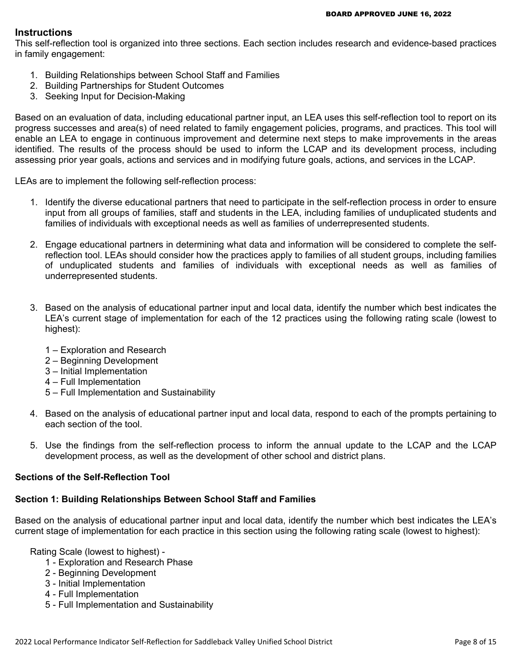#### **Instructions**

This self-reflection tool is organized into three sections. Each section includes research and evidence-based practices in family engagement:

- 1. Building Relationships between School Staff and Families
- 2. Building Partnerships for Student Outcomes
- 3. Seeking Input for Decision-Making

Based on an evaluation of data, including educational partner input, an LEA uses this self-reflection tool to report on its progress successes and area(s) of need related to family engagement policies, programs, and practices. This tool will enable an LEA to engage in continuous improvement and determine next steps to make improvements in the areas identified. The results of the process should be used to inform the LCAP and its development process, including assessing prior year goals, actions and services and in modifying future goals, actions, and services in the LCAP.

LEAs are to implement the following self-reflection process:

- 1. Identify the diverse educational partners that need to participate in the self-reflection process in order to ensure input from all groups of families, staff and students in the LEA, including families of unduplicated students and families of individuals with exceptional needs as well as families of underrepresented students.
- 2. Engage educational partners in determining what data and information will be considered to complete the selfreflection tool. LEAs should consider how the practices apply to families of all student groups, including families of unduplicated students and families of individuals with exceptional needs as well as families of underrepresented students.
- 3. Based on the analysis of educational partner input and local data, identify the number which best indicates the LEA's current stage of implementation for each of the 12 practices using the following rating scale (lowest to highest):
	- 1 Exploration and Research
	- 2 Beginning Development
	- 3 Initial Implementation
	- 4 Full Implementation
	- 5 Full Implementation and Sustainability
- 4. Based on the analysis of educational partner input and local data, respond to each of the prompts pertaining to each section of the tool.
- 5. Use the findings from the self-reflection process to inform the annual update to the LCAP and the LCAP development process, as well as the development of other school and district plans.

#### **Sections of the Self-Reflection Tool**

### **Section 1: Building Relationships Between School Staff and Families**

Based on the analysis of educational partner input and local data, identify the number which best indicates the LEA's current stage of implementation for each practice in this section using the following rating scale (lowest to highest):

Rating Scale (lowest to highest) -

- 1 Exploration and Research Phase
- 2 Beginning Development
- 3 Initial Implementation
- 4 Full Implementation
- 5 Full Implementation and Sustainability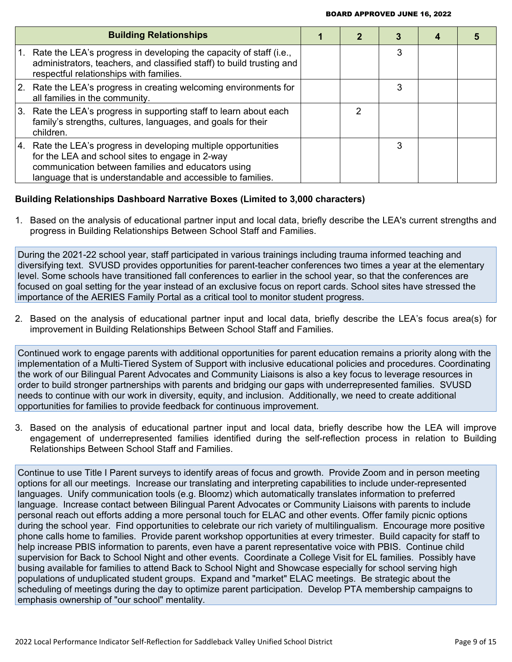|    | <b>Building Relationships</b>                                                                                                                                                                                                           |   |   |  |
|----|-----------------------------------------------------------------------------------------------------------------------------------------------------------------------------------------------------------------------------------------|---|---|--|
| 1. | Rate the LEA's progress in developing the capacity of staff (i.e.,<br>administrators, teachers, and classified staff) to build trusting and<br>respectful relationships with families.                                                  |   | 3 |  |
|    | 2. Rate the LEA's progress in creating welcoming environments for<br>all families in the community.                                                                                                                                     |   | З |  |
|    | 3. Rate the LEA's progress in supporting staff to learn about each<br>family's strengths, cultures, languages, and goals for their<br>children.                                                                                         | າ |   |  |
|    | 4. Rate the LEA's progress in developing multiple opportunities<br>for the LEA and school sites to engage in 2-way<br>communication between families and educators using<br>language that is understandable and accessible to families. |   | З |  |

#### **Building Relationships Dashboard Narrative Boxes (Limited to 3,000 characters)**

1. Based on the analysis of educational partner input and local data, briefly describe the LEA's current strengths and progress in Building Relationships Between School Staff and Families.

During the 2021-22 school year, staff participated in various trainings including trauma informed teaching and diversifying text. SVUSD provides opportunities for parent-teacher conferences two times a year at the elementary level. Some schools have transitioned fall conferences to earlier in the school year, so that the conferences are focused on goal setting for the year instead of an exclusive focus on report cards. School sites have stressed the importance of the AERIES Family Portal as a critical tool to monitor student progress.

2. Based on the analysis of educational partner input and local data, briefly describe the LEA's focus area(s) for improvement in Building Relationships Between School Staff and Families.

Continued work to engage parents with additional opportunities for parent education remains a priority along with the implementation of a Multi-Tiered System of Support with inclusive educational policies and procedures. Coordinating the work of our Bilingual Parent Advocates and Community Liaisons is also a key focus to leverage resources in order to build stronger partnerships with parents and bridging our gaps with underrepresented families. SVUSD needs to continue with our work in diversity, equity, and inclusion. Additionally, we need to create additional opportunities for families to provide feedback for continuous improvement.

3. Based on the analysis of educational partner input and local data, briefly describe how the LEA will improve engagement of underrepresented families identified during the self-reflection process in relation to Building Relationships Between School Staff and Families.

Continue to use Title I Parent surveys to identify areas of focus and growth. Provide Zoom and in person meeting options for all our meetings. Increase our translating and interpreting capabilities to include under-represented languages. Unify communication tools (e.g. Bloomz) which automatically translates information to preferred language. Increase contact between Bilingual Parent Advocates or Community Liaisons with parents to include personal reach out efforts adding a more personal touch for ELAC and other events. Offer family picnic options during the school year. Find opportunities to celebrate our rich variety of multilingualism. Encourage more positive phone calls home to families. Provide parent workshop opportunities at every trimester. Build capacity for staff to help increase PBIS information to parents, even have a parent representative voice with PBIS. Continue child supervision for Back to School Night and other events. Coordinate a College Visit for EL families. Possibly have busing available for families to attend Back to School Night and Showcase especially for school serving high populations of unduplicated student groups. Expand and "market" ELAC meetings. Be strategic about the scheduling of meetings during the day to optimize parent participation. Develop PTA membership campaigns to emphasis ownership of "our school" mentality.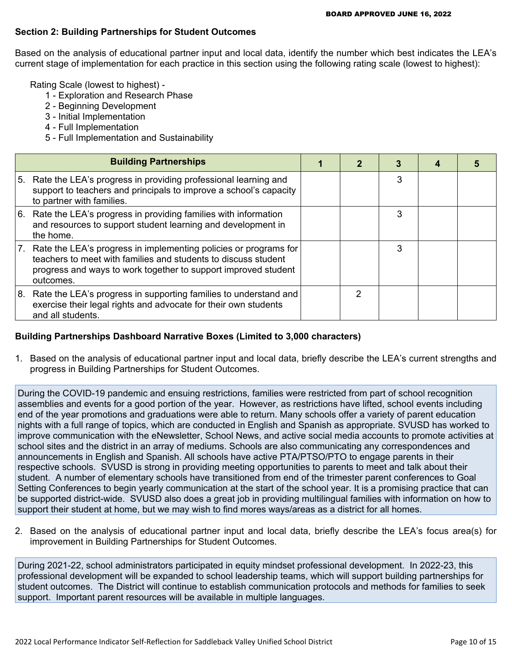#### **Section 2: Building Partnerships for Student Outcomes**

Based on the analysis of educational partner input and local data, identify the number which best indicates the LEA's current stage of implementation for each practice in this section using the following rating scale (lowest to highest):

Rating Scale (lowest to highest) -

- 1 Exploration and Research Phase
- 2 Beginning Development
- 3 Initial Implementation
- 4 Full Implementation
- 5 Full Implementation and Sustainability

|    | <b>Building Partnerships</b>                                                                                                                                                                                      | 2 |   |  |
|----|-------------------------------------------------------------------------------------------------------------------------------------------------------------------------------------------------------------------|---|---|--|
|    | 5. Rate the LEA's progress in providing professional learning and<br>support to teachers and principals to improve a school's capacity<br>to partner with families.                                               |   | 3 |  |
|    | 6. Rate the LEA's progress in providing families with information<br>and resources to support student learning and development in<br>the home.                                                                    |   | 3 |  |
| 7. | Rate the LEA's progress in implementing policies or programs for<br>teachers to meet with families and students to discuss student<br>progress and ways to work together to support improved student<br>outcomes. |   | 3 |  |
| 8. | Rate the LEA's progress in supporting families to understand and<br>exercise their legal rights and advocate for their own students<br>and all students.                                                          | 2 |   |  |

#### **Building Partnerships Dashboard Narrative Boxes (Limited to 3,000 characters)**

1. Based on the analysis of educational partner input and local data, briefly describe the LEA's current strengths and progress in Building Partnerships for Student Outcomes.

During the COVID-19 pandemic and ensuing restrictions, families were restricted from part of school recognition assemblies and events for a good portion of the year. However, as restrictions have lifted, school events including end of the year promotions and graduations were able to return. Many schools offer a variety of parent education nights with a full range of topics, which are conducted in English and Spanish as appropriate. SVUSD has worked to improve communication with the eNewsletter, School News, and active social media accounts to promote activities at school sites and the district in an array of mediums. Schools are also communicating any correspondences and announcements in English and Spanish. All schools have active PTA/PTSO/PTO to engage parents in their respective schools. SVUSD is strong in providing meeting opportunities to parents to meet and talk about their student. A number of elementary schools have transitioned from end of the trimester parent conferences to Goal Setting Conferences to begin yearly communication at the start of the school year. It is a promising practice that can be supported district-wide. SVUSD also does a great job in providing multilingual families with information on how to support their student at home, but we may wish to find mores ways/areas as a district for all homes.

2. Based on the analysis of educational partner input and local data, briefly describe the LEA's focus area(s) for improvement in Building Partnerships for Student Outcomes.

During 2021-22, school administrators participated in equity mindset professional development. In 2022-23, this professional development will be expanded to school leadership teams, which will support building partnerships for student outcomes. The District will continue to establish communication protocols and methods for families to seek support. Important parent resources will be available in multiple languages.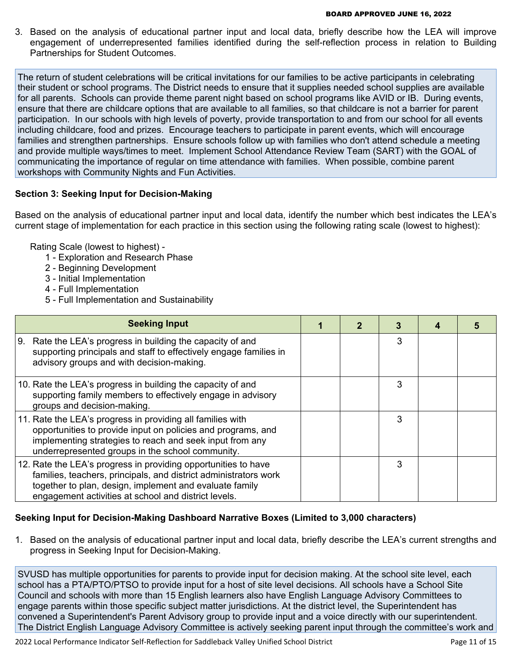3. Based on the analysis of educational partner input and local data, briefly describe how the LEA will improve engagement of underrepresented families identified during the self-reflection process in relation to Building Partnerships for Student Outcomes.

The return of student celebrations will be critical invitations for our families to be active participants in celebrating their student or school programs. The District needs to ensure that it supplies needed school supplies are available for all parents. Schools can provide theme parent night based on school programs like AVID or IB. During events, ensure that there are childcare options that are available to all families, so that childcare is not a barrier for parent participation. In our schools with high levels of poverty, provide transportation to and from our school for all events including childcare, food and prizes. Encourage teachers to participate in parent events, which will encourage families and strengthen partnerships. Ensure schools follow up with families who don't attend schedule a meeting and provide multiple ways/times to meet. Implement School Attendance Review Team (SART) with the GOAL of communicating the importance of regular on time attendance with families. When possible, combine parent workshops with Community Nights and Fun Activities.

#### **Section 3: Seeking Input for Decision-Making**

Based on the analysis of educational partner input and local data, identify the number which best indicates the LEA's current stage of implementation for each practice in this section using the following rating scale (lowest to highest):

Rating Scale (lowest to highest) -

- 1 Exploration and Research Phase
- 2 Beginning Development
- 3 Initial Implementation
- 4 Full Implementation
- 5 Full Implementation and Sustainability

| <b>Seeking Input</b>                                                                                                                                                                                                                                  |  | 3 |  |
|-------------------------------------------------------------------------------------------------------------------------------------------------------------------------------------------------------------------------------------------------------|--|---|--|
| Rate the LEA's progress in building the capacity of and<br>l 9.<br>supporting principals and staff to effectively engage families in<br>advisory groups and with decision-making.                                                                     |  | 3 |  |
| 10. Rate the LEA's progress in building the capacity of and<br>supporting family members to effectively engage in advisory<br>groups and decision-making.                                                                                             |  | 3 |  |
| 11. Rate the LEA's progress in providing all families with<br>opportunities to provide input on policies and programs, and<br>implementing strategies to reach and seek input from any<br>underrepresented groups in the school community.            |  | 3 |  |
| 12. Rate the LEA's progress in providing opportunities to have<br>families, teachers, principals, and district administrators work<br>together to plan, design, implement and evaluate family<br>engagement activities at school and district levels. |  | 3 |  |

### **Seeking Input for Decision-Making Dashboard Narrative Boxes (Limited to 3,000 characters)**

1. Based on the analysis of educational partner input and local data, briefly describe the LEA's current strengths and progress in Seeking Input for Decision-Making.

SVUSD has multiple opportunities for parents to provide input for decision making. At the school site level, each school has a PTA/PTO/PTSO to provide input for a host of site level decisions. All schools have a School Site Council and schools with more than 15 English learners also have English Language Advisory Committees to engage parents within those specific subject matter jurisdictions. At the district level, the Superintendent has convened a Superintendent's Parent Advisory group to provide input and a voice directly with our superintendent. The District English Language Advisory Committee is actively seeking parent input through the committee's work and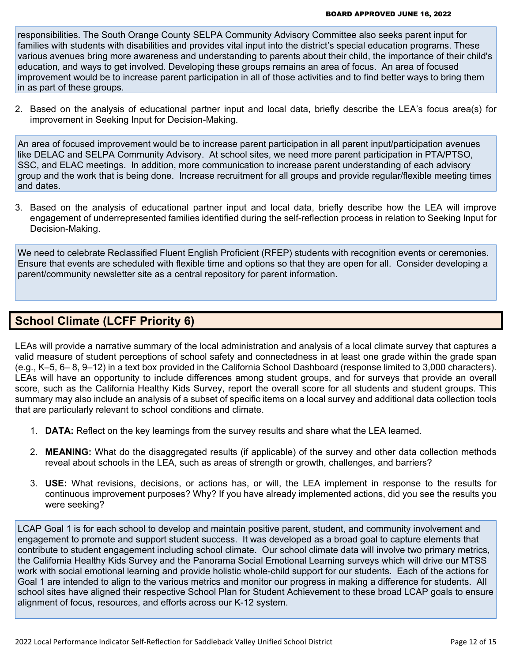responsibilities. The South Orange County SELPA Community Advisory Committee also seeks parent input for families with students with disabilities and provides vital input into the district's special education programs. These various avenues bring more awareness and understanding to parents about their child, the importance of their child's education, and ways to get involved. Developing these groups remains an area of focus. An area of focused improvement would be to increase parent participation in all of those activities and to find better ways to bring them in as part of these groups.

2. Based on the analysis of educational partner input and local data, briefly describe the LEA's focus area(s) for improvement in Seeking Input for Decision-Making.

An area of focused improvement would be to increase parent participation in all parent input/participation avenues like DELAC and SELPA Community Advisory. At school sites, we need more parent participation in PTA/PTSO, SSC, and ELAC meetings. In addition, more communication to increase parent understanding of each advisory group and the work that is being done. Increase recruitment for all groups and provide regular/flexible meeting times and dates.

3. Based on the analysis of educational partner input and local data, briefly describe how the LEA will improve engagement of underrepresented families identified during the self-reflection process in relation to Seeking Input for Decision-Making.

We need to celebrate Reclassified Fluent English Proficient (RFEP) students with recognition events or ceremonies. Ensure that events are scheduled with flexible time and options so that they are open for all. Consider developing a parent/community newsletter site as a central repository for parent information.

## **School Climate (LCFF Priority 6)**

LEAs will provide a narrative summary of the local administration and analysis of a local climate survey that captures a valid measure of student perceptions of school safety and connectedness in at least one grade within the grade span (e.g., K–5, 6– 8, 9–12) in a text box provided in the California School Dashboard (response limited to 3,000 characters). LEAs will have an opportunity to include differences among student groups, and for surveys that provide an overall score, such as the California Healthy Kids Survey, report the overall score for all students and student groups. This summary may also include an analysis of a subset of specific items on a local survey and additional data collection tools that are particularly relevant to school conditions and climate.

- 1. **DATA:** Reflect on the key learnings from the survey results and share what the LEA learned.
- 2. **MEANING:** What do the disaggregated results (if applicable) of the survey and other data collection methods reveal about schools in the LEA, such as areas of strength or growth, challenges, and barriers?
- 3. **USE:** What revisions, decisions, or actions has, or will, the LEA implement in response to the results for continuous improvement purposes? Why? If you have already implemented actions, did you see the results you were seeking?

LCAP Goal 1 is for each school to develop and maintain positive parent, student, and community involvement and engagement to promote and support student success. It was developed as a broad goal to capture elements that contribute to student engagement including school climate. Our school climate data will involve two primary metrics, the California Healthy Kids Survey and the Panorama Social Emotional Learning surveys which will drive our MTSS work with social emotional learning and provide holistic whole-child support for our students. Each of the actions for Goal 1 are intended to align to the various metrics and monitor our progress in making a difference for students. All school sites have aligned their respective School Plan for Student Achievement to these broad LCAP goals to ensure alignment of focus, resources, and efforts across our K-12 system.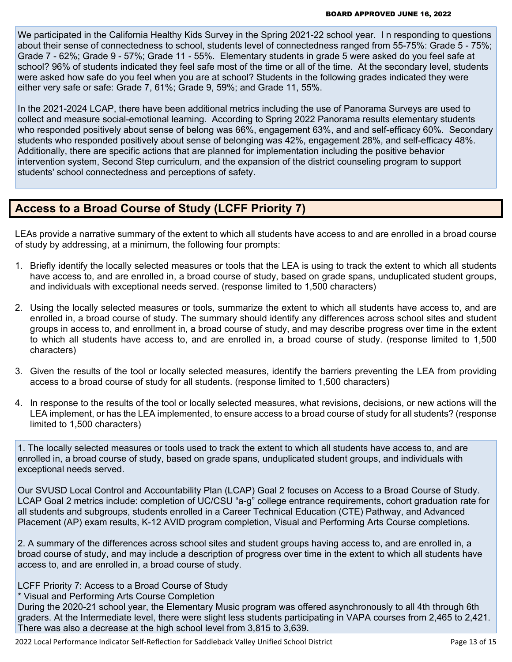We participated in the California Healthy Kids Survey in the Spring 2021-22 school year. In responding to questions about their sense of connectedness to school, students level of connectedness ranged from 55-75%: Grade 5 - 75%; Grade 7 - 62%; Grade 9 - 57%; Grade 11 - 55%. Elementary students in grade 5 were asked do you feel safe at school? 96% of students indicated they feel safe most of the time or all of the time. At the secondary level, students were asked how safe do you feel when you are at school? Students in the following grades indicated they were either very safe or safe: Grade 7, 61%; Grade 9, 59%; and Grade 11, 55%.

In the 2021-2024 LCAP, there have been additional metrics including the use of Panorama Surveys are used to collect and measure social-emotional learning. According to Spring 2022 Panorama results elementary students who responded positively about sense of belong was 66%, engagement 63%, and and self-efficacy 60%. Secondary students who responded positively about sense of belonging was 42%, engagement 28%, and self-efficacy 48%. Additionally, there are specific actions that are planned for implementation including the positive behavior intervention system, Second Step curriculum, and the expansion of the district counseling program to support students' school connectedness and perceptions of safety.

## **Access to a Broad Course of Study (LCFF Priority 7)**

LEAs provide a narrative summary of the extent to which all students have access to and are enrolled in a broad course of study by addressing, at a minimum, the following four prompts:

- 1. Briefly identify the locally selected measures or tools that the LEA is using to track the extent to which all students have access to, and are enrolled in, a broad course of study, based on grade spans, unduplicated student groups, and individuals with exceptional needs served. (response limited to 1,500 characters)
- 2. Using the locally selected measures or tools, summarize the extent to which all students have access to, and are enrolled in, a broad course of study. The summary should identify any differences across school sites and student groups in access to, and enrollment in, a broad course of study, and may describe progress over time in the extent to which all students have access to, and are enrolled in, a broad course of study. (response limited to 1,500 characters)
- 3. Given the results of the tool or locally selected measures, identify the barriers preventing the LEA from providing access to a broad course of study for all students. (response limited to 1,500 characters)
- 4. In response to the results of the tool or locally selected measures, what revisions, decisions, or new actions will the LEA implement, or has the LEA implemented, to ensure access to a broad course of study for all students? (response limited to 1,500 characters)

1. The locally selected measures or tools used to track the extent to which all students have access to, and are enrolled in, a broad course of study, based on grade spans, unduplicated student groups, and individuals with exceptional needs served.

Our SVUSD Local Control and Accountability Plan (LCAP) Goal 2 focuses on Access to a Broad Course of Study. LCAP Goal 2 metrics include: completion of UC/CSU "a-g" college entrance requirements, cohort graduation rate for all students and subgroups, students enrolled in a Career Technical Education (CTE) Pathway, and Advanced Placement (AP) exam results, K-12 AVID program completion, Visual and Performing Arts Course completions.

2. A summary of the differences across school sites and student groups having access to, and are enrolled in, a broad course of study, and may include a description of progress over time in the extent to which all students have access to, and are enrolled in, a broad course of study.

LCFF Priority 7: Access to a Broad Course of Study

\* Visual and Performing Arts Course Completion

During the 2020-21 school year, the Elementary Music program was offered asynchronously to all 4th through 6th graders. At the Intermediate level, there were slight less students participating in VAPA courses from 2,465 to 2,421. There was also a decrease at the high school level from 3,815 to 3,639.